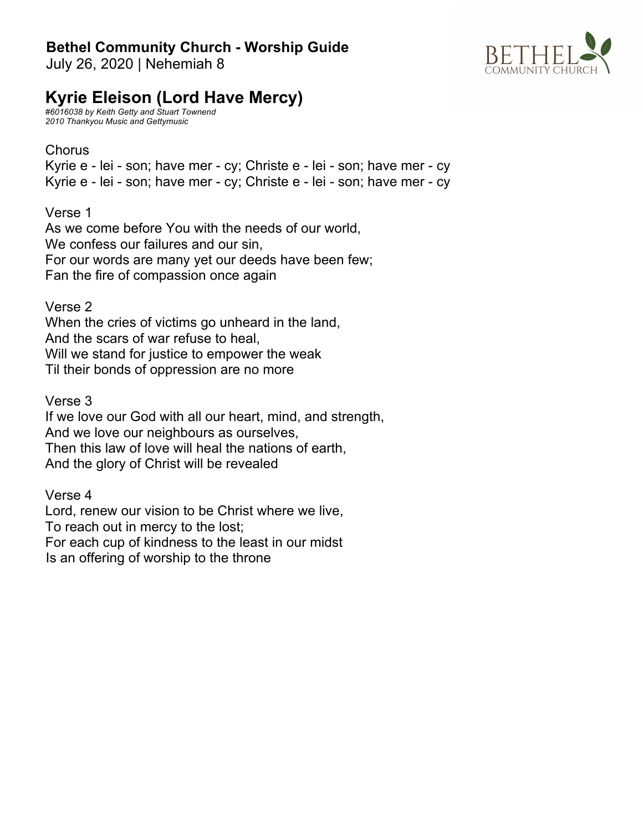### **Bethel Community Church - Worship Guide**

July 26, 2020 | Nehemiah 8



## **Kyrie Eleison (Lord Have Mercy)**

*#6016038 by Keith Getty and Stuart Townend 2010 Thankyou Music and Gettymusic*

#### **Chorus**

Kyrie e - lei - son; have mer - cy; Christe e - lei - son; have mer - cy Kyrie e - lei - son; have mer - cy; Christe e - lei - son; have mer - cy

Verse 1

As we come before You with the needs of our world, We confess our failures and our sin, For our words are many yet our deeds have been few; Fan the fire of compassion once again

Verse 2

When the cries of victims go unheard in the land, And the scars of war refuse to heal, Will we stand for justice to empower the weak Til their bonds of oppression are no more

Verse 3

If we love our God with all our heart, mind, and strength, And we love our neighbours as ourselves, Then this law of love will heal the nations of earth, And the glory of Christ will be revealed

Verse 4

Lord, renew our vision to be Christ where we live, To reach out in mercy to the lost; For each cup of kindness to the least in our midst Is an offering of worship to the throne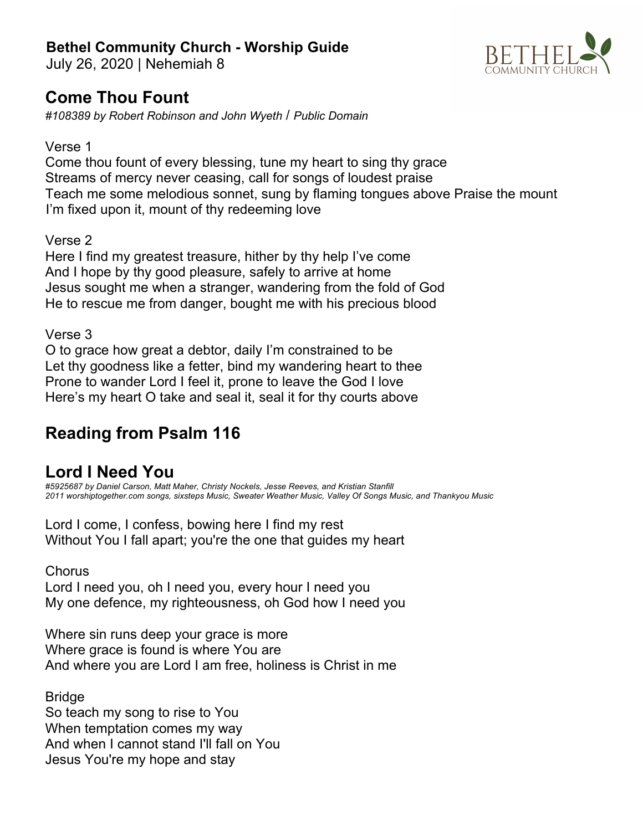### **Bethel Community Church - Worship Guide**

July 26, 2020 | Nehemiah 8

# **Come Thou Fount**

*#108389 by Robert Robinson and John Wyeth* / *Public Domain*

#### Verse 1

Come thou fount of every blessing, tune my heart to sing thy grace Streams of mercy never ceasing, call for songs of loudest praise Teach me some melodious sonnet, sung by flaming tongues above Praise the mount I'm fixed upon it, mount of thy redeeming love

#### Verse 2

Here I find my greatest treasure, hither by thy help I've come And I hope by thy good pleasure, safely to arrive at home Jesus sought me when a stranger, wandering from the fold of God He to rescue me from danger, bought me with his precious blood

#### Verse 3

O to grace how great a debtor, daily I'm constrained to be Let thy goodness like a fetter, bind my wandering heart to thee Prone to wander Lord I feel it, prone to leave the God I love Here's my heart O take and seal it, seal it for thy courts above

## **Reading from Psalm 116**

### **Lord I Need You**

*#5925687 by Daniel Carson, Matt Maher, Christy Nockels, Jesse Reeves, and Kristian Stanfill 2011 worshiptogether.com songs, sixsteps Music, Sweater Weather Music, Valley Of Songs Music, and Thankyou Music*

Lord I come, I confess, bowing here I find my rest Without You I fall apart; you're the one that guides my heart

**Chorus** 

Lord I need you, oh I need you, every hour I need you My one defence, my righteousness, oh God how I need you

Where sin runs deep your grace is more Where grace is found is where You are And where you are Lord I am free, holiness is Christ in me

Bridge So teach my song to rise to You When temptation comes my way And when I cannot stand I'll fall on You Jesus You're my hope and stay